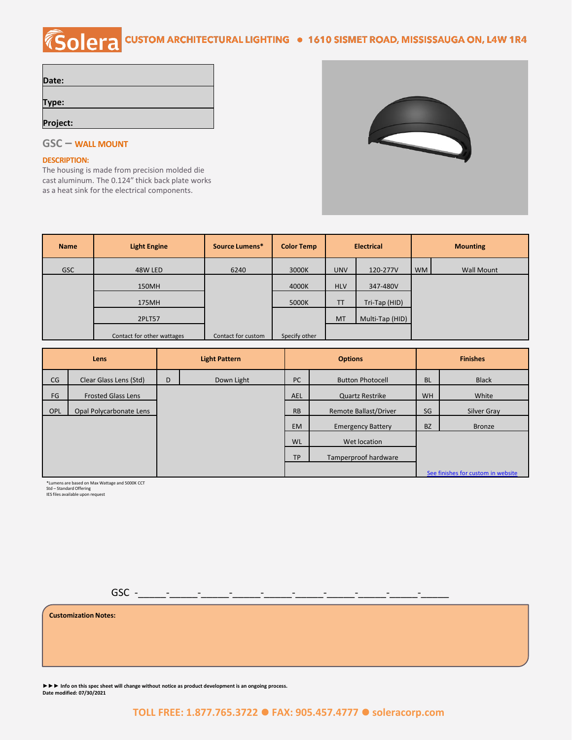# COLETA CUSTOM ARCHITECTURAL LIGHTING . 1610 SISMET ROAD, MISSISSAUGA ON, L4W 1R4

| Date:    |  |
|----------|--|
|          |  |
| Type:    |  |
|          |  |
| Project: |  |



### **GSC – WALL MOUNT**

#### **DESCRIPTION:**

The housing is made from precision molded die cast aluminum. The 0.124" thick back plate works as a heat sink for the electrical components.

| <b>Name</b> | <b>Light Engine</b>        | Source Lumens*     | <b>Color Temp</b> | <b>Electrical</b>   |                 | <b>Mounting</b> |            |
|-------------|----------------------------|--------------------|-------------------|---------------------|-----------------|-----------------|------------|
| <b>GSC</b>  | 48W LED                    | 6240               | 3000K             | <b>UNV</b>          | 120-277V        |                 | Wall Mount |
|             | 150MH                      |                    | 4000K             | <b>HLV</b>          | 347-480V        |                 |            |
|             | 175MH                      |                    | 5000K             | Tri-Tap (HID)<br>TT |                 |                 |            |
|             | 2PLT57                     |                    |                   | <b>MT</b>           | Multi-Tap (HID) |                 |            |
|             | Contact for other wattages | Contact for custom | Specify other     |                     |                 |                 |            |

| Lens       |                           | <b>Light Pattern</b> |            | <b>Options</b>                     |                              | <b>Finishes</b> |               |
|------------|---------------------------|----------------------|------------|------------------------------------|------------------------------|-----------------|---------------|
| CG         | Clear Glass Lens (Std)    | D                    | Down Light | <b>PC</b>                          | <b>Button Photocell</b>      | <b>BL</b>       | <b>Black</b>  |
| FG         | <b>Frosted Glass Lens</b> |                      |            | <b>AEL</b>                         | <b>Quartz Restrike</b>       | <b>WH</b>       | White         |
| <b>OPL</b> | Opal Polycarbonate Lens   |                      |            | <b>RB</b>                          | <b>Remote Ballast/Driver</b> | SG              | Silver Gray   |
|            |                           |                      |            | <b>EM</b>                          | <b>Emergency Battery</b>     | <b>BZ</b>       | <b>Bronze</b> |
|            |                           |                      |            | <b>WL</b>                          | Wet location                 |                 |               |
|            |                           |                      |            | <b>TP</b>                          | Tamperproof hardware         |                 |               |
|            |                           |                      |            | See finishes for custom in website |                              |                 |               |

\*Lumens are based on Max Wattage and 5000K CCT Std – Standard Offering IES files available upon request

GSC -\_\_\_\_\_-\_\_\_\_\_-\_\_\_\_\_-\_\_\_\_\_-\_\_\_\_\_-\_\_\_\_\_-\_\_\_\_\_-\_\_\_\_\_-\_\_\_\_\_-\_\_\_\_\_

**Customization Notes:**

**►►► Info on this spec sheet will change without notice as product development is an ongoing process. Date modified: 07/30/2021**